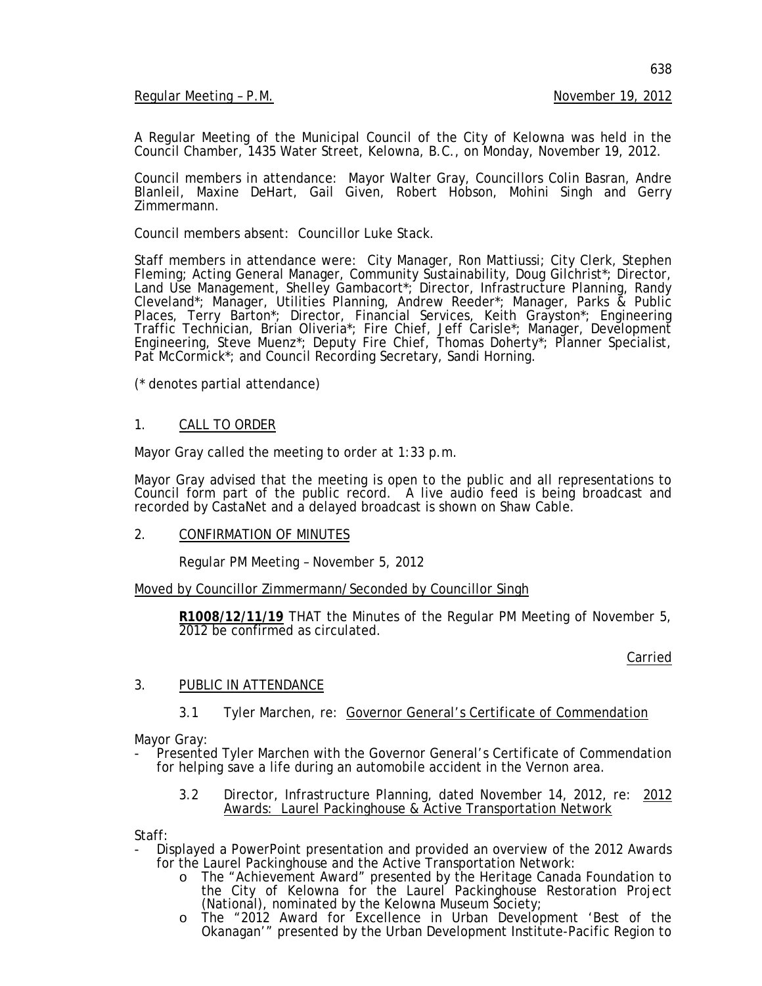Regular Meeting - P.M. November 19, 2012

A Regular Meeting of the Municipal Council of the City of Kelowna was held in the Council Chamber, 1435 Water Street, Kelowna, B.C., on Monday, November 19, 2012.

Council members in attendance: Mayor Walter Gray, Councillors Colin Basran, Andre Blanleil, Maxine DeHart, Gail Given, Robert Hobson, Mohini Singh and Gerry Zimmermann.

Council members absent: Councillor Luke Stack.

Staff members in attendance were: City Manager, Ron Mattiussi; City Clerk, Stephen Fleming; Acting General Manager, Community Sustainability, Doug Gilchrist\*; Director, Land Use Management, Shelley Gambacort\*; Director, Infrastructure Planning, Randy Cleveland\*; Manager, Utilities Planning, Andrew Reeder\*; Manager, Parks & Public Places, Terry Barton\*; Director, Financial Services, Keith Grayston\*; Engineering Traffic Technician, Brian Oliveria\*; Fire Chief, Jeff Carisle\*; Manager, Development Engineering, Steve Muenz\*; Deputy Fire Chief, Thomas Doherty\*; Planner Specialist, Pat McCormick<sup>\*</sup>; and Council Recording Secretary, Sandi Horning.

(\* denotes partial attendance)

#### 1. CALL TO ORDER

Mayor Gray called the meeting to order at 1:33 p.m.

Mayor Gray advised that the meeting is open to the public and all representations to Council form part of the public record. A live audio feed is being broadcast and recorded by CastaNet and a delayed broadcast is shown on Shaw Cable.

2. CONFIRMATION OF MINUTES

Regular PM Meeting – November 5, 2012

Moved by Councillor Zimmermann/Seconded by Councillor Singh

**R1008/12/11/19** THAT the Minutes of the Regular PM Meeting of November 5, 2012 be confirmed as circulated.

Carried

## 3. PUBLIC IN ATTENDANCE

3.1 Tyler Marchen, re: Governor General's Certificate of Commendation

Mayor Gray:

- Presented Tyler Marchen with the Governor General's Certificate of Commendation for helping save a life during an automobile accident in the Vernon area.
	- 3.2 Director, Infrastructure Planning, dated November 14, 2012, re: 2012 Awards: Laurel Packinghouse & Active Transportation Network

Staff:

- Displayed a PowerPoint presentation and provided an overview of the 2012 Awards for the Laurel Packinghouse and the Active Transportation Network:
	- o The "Achievement Award" presented by the Heritage Canada Foundation to the City of Kelowna for the Laurel Packinghouse Restoration Project (National), nominated by the Kelowna Museum Society;
	- o The "2012 Award for Excellence in Urban Development 'Best of the Okanagan'" presented by the Urban Development Institute-Pacific Region to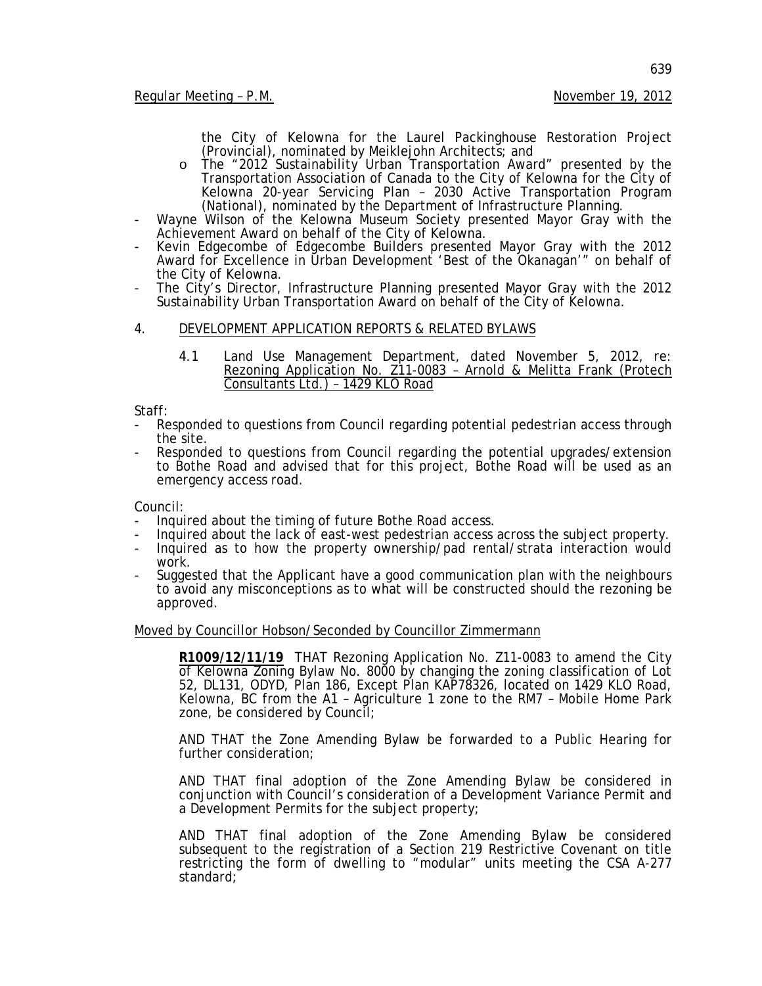the City of Kelowna for the Laurel Packinghouse Restoration Project (Provincial), nominated by Meiklejohn Architects; and

- o The "2012 Sustainability Urban Transportation Award" presented by the Transportation Association of Canada to the City of Kelowna for the City of Kelowna 20-year Servicing Plan – 2030 Active Transportation Program (National), nominated by the Department of Infrastructure Planning.
- Wayne Wilson of the Kelowna Museum Society presented Mayor Gray with the Achievement Award on behalf of the City of Kelowna.
- Kevin Edgecombe of Edgecombe Builders presented Mayor Gray with the 2012 Award for Excellence in Urban Development 'Best of the Okanagan'" on behalf of the City of Kelowna.
- The City's Director, Infrastructure Planning presented Mayor Gray with the 2012 Sustainability Urban Transportation Award on behalf of the City of Kelowna.
- 4. DEVELOPMENT APPLICATION REPORTS & RELATED BYLAWS
	- 4.1 Land Use Management Department, dated November 5, 2012, re: Rezoning Application No. Z11-0083 - Arnold & Melitta Frank (Protech Consultants Ltd.) – 1429 KLO Road

Staff:

- Responded to questions from Council regarding potential pedestrian access through the site.
- Responded to questions from Council regarding the potential upgrades/extension to Bothe Road and advised that for this project, Bothe Road will be used as an emergency access road.

- Council:<br>- Inquired about the timing of future Bothe Road access.
- Inquired about the timing of future Bothe Road access.<br>- Inquired about the lack of east-west pedestrian access across the subject property.<br>- Inquired as to how the property ownership/pad rental/strata interaction would
- work.
- Suggested that the Applicant have a good communication plan with the neighbours to avoid any misconceptions as to what will be constructed should the rezoning be approved.

#### Moved by Councillor Hobson/Seconded by Councillor Zimmermann

**R1009/12/11/19** THAT Rezoning Application No. Z11-0083 to amend the City of Kelowna Zoning Bylaw No. 8000 by changing the zoning classification of Lot 52, DL131, ODYD, Plan 186, Except Plan KAP78326, located on 1429 KLO Road, Kelowna, BC from the A1 – Agriculture 1 zone to the RM7 – Mobile Home Park zone, be considered by Council;

AND THAT the Zone Amending Bylaw be forwarded to a Public Hearing for further consideration;

AND THAT final adoption of the Zone Amending Bylaw be considered in conjunction with Council's consideration of a Development Variance Permit and a Development Permits for the subject property;

AND THAT final adoption of the Zone Amending Bylaw be considered subsequent to the registration of a Section 219 Restrictive Covenant on title restricting the form of dwelling to "modular" units meeting the CSA A-277 standard;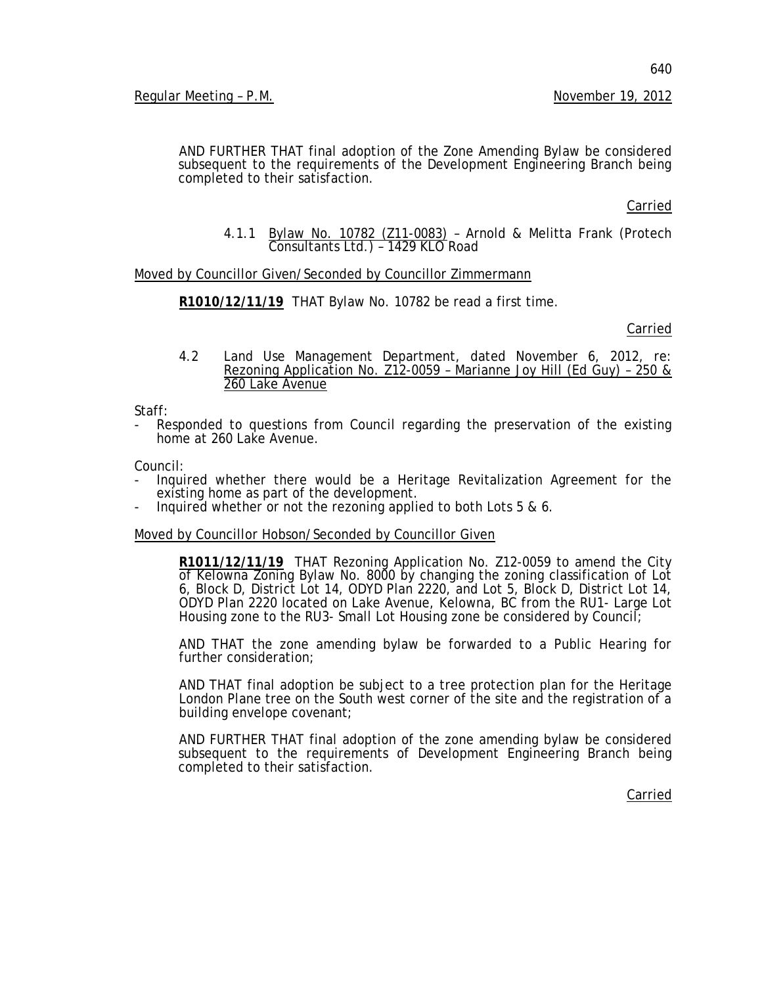AND FURTHER THAT final adoption of the Zone Amending Bylaw be considered subsequent to the requirements of the Development Engineering Branch being completed to their satisfaction.

Carried

4.1.1 Bylaw No. 10782 (Z11-0083) – Arnold & Melitta Frank (Protech Consultants Ltd.) – 1429 KLO Road

Moved by Councillor Given/Seconded by Councillor Zimmermann

**R1010/12/11/19** THAT Bylaw No. 10782 be read a first time.

Carried

4.2 Land Use Management Department, dated November 6, 2012, re: Rezoning Application No. Z12-0059 – Marianne Joy Hill (Ed Guy) – 250 & 260 Lake Avenue

Staff:

Responded to questions from Council regarding the preservation of the existing home at 260 Lake Avenue.

Council:

- Inquired whether there would be a Heritage Revitalization Agreement for the existing home as part of the development.
- Inquired whether or not the rezoning applied to both Lots 5 & 6.

Moved by Councillor Hobson/Seconded by Councillor Given

**R1011/12/11/19** THAT Rezoning Application No. Z12-0059 to amend the City of Kelowna Zoning Bylaw No. 8000 by changing the zoning classification of Lot 6, Block D, District Lot 14, ODYD Plan 2220, and Lot 5, Block D, District Lot 14, ODYD Plan 2220 located on Lake Avenue, Kelowna, BC from the RU1- Large Lot Housing zone to the RU3- Small Lot Housing zone be considered by Council;

AND THAT the zone amending bylaw be forwarded to a Public Hearing for further consideration;

AND THAT final adoption be subject to a tree protection plan for the Heritage London Plane tree on the South west corner of the site and the registration of a building envelope covenant;

AND FURTHER THAT final adoption of the zone amending bylaw be considered subsequent to the requirements of Development Engineering Branch being completed to their satisfaction.

Carried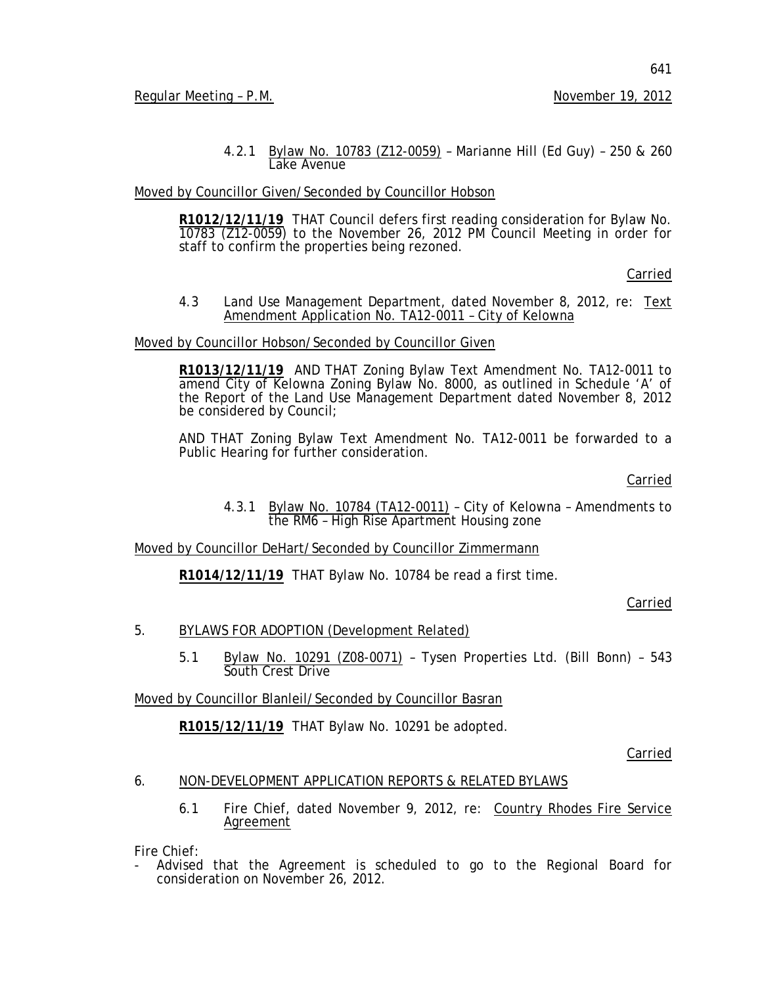641

4.2.1 Bylaw No. 10783 (Z12-0059) – Marianne Hill (Ed Guy) – 250 & 260 Lake Avenue

## Moved by Councillor Given/Seconded by Councillor Hobson

**R1012/12/11/19** THAT Council defers first reading consideration for Bylaw No. 10783 (Z12-0059) to the November 26, 2012 PM Council Meeting in order for staff to confirm the properties being rezoned.

Carried

#### 4.3 Land Use Management Department, dated November 8, 2012, re: Text Amendment Application No. TA12-0011 - City of Kelowna

## Moved by Councillor Hobson/Seconded by Councillor Given

**R1013/12/11/19** AND THAT Zoning Bylaw Text Amendment No. TA12-0011 to amend City of Kelowna Zoning Bylaw No. 8000, as outlined in Schedule 'A' of the Report of the Land Use Management Department dated November 8, 2012 be considered by Council;

AND THAT Zoning Bylaw Text Amendment No. TA12-0011 be forwarded to a Public Hearing for further consideration.

## Carried

4.3.1 Bylaw No. 10784 (TA12-0011) – City of Kelowna – Amendments to the RM6 – High Rise Apartment Housing zone

Moved by Councillor DeHart/Seconded by Councillor Zimmermann

**R1014/12/11/19** THAT Bylaw No. 10784 be read a first time.

## Carried

## 5. BYLAWS FOR ADOPTION (Development Related)

5.1 Bylaw No. 10291 (Z08-0071) - Tysen Properties Ltd. (Bill Bonn) - 543 South Crest Drive

Moved by Councillor Blanleil/Seconded by Councillor Basran

**R1015/12/11/19** THAT Bylaw No. 10291 be adopted.

Carried

## 6. NON-DEVELOPMENT APPLICATION REPORTS & RELATED BYLAWS

6.1 Fire Chief, dated November 9, 2012, re: Country Rhodes Fire Service Agreement

Fire Chief:

- Advised that the Agreement is scheduled to go to the Regional Board for consideration on November 26, 2012.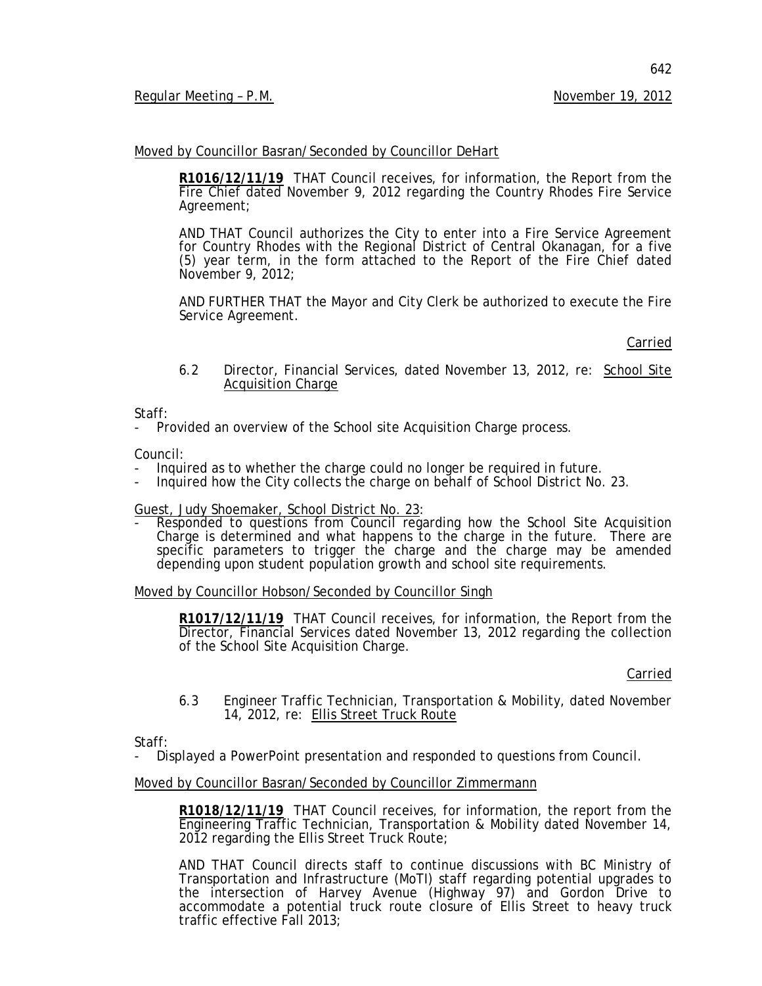642

#### Moved by Councillor Basran/Seconded by Councillor DeHart

**R1016/12/11/19** THAT Council receives, for information, the Report from the Fire Chief dated November 9, 2012 regarding the Country Rhodes Fire Service Agreement;

AND THAT Council authorizes the City to enter into a Fire Service Agreement for Country Rhodes with the Regional District of Central Okanagan, for a five (5) year term, in the form attached to the Report of the Fire Chief dated November 9, 2012;

AND FURTHER THAT the Mayor and City Clerk be authorized to execute the Fire Service Agreement.

Carried

6.2 Director, Financial Services, dated November 13, 2012, re: School Site Acquisition Charge

Staff:

Provided an overview of the School site Acquisition Charge process.

- Council:<br>- Inquired as to whether the charge could no longer be required in future.
- Inquired how the City collects the charge on behalf of School District No. 23.

Guest, Judy Shoemaker, School District No. 23 :

- Responded to questions from Council regarding how the School Site Acquisition Charge is determined and what happens to the charge in the future. There are specific parameters to trigger the charge and the charge may be amended depending upon student population growth and school site requirements.

#### Moved by Councillor Hobson/Seconded by Councillor Singh

**R1017/12/11/19** THAT Council receives, for information, the Report from the Director, Financial Services dated November 13, 2012 regarding the collection of the School Site Acquisition Charge.

Carried

6.3 Engineer Traffic Technician, Transportation & Mobility, dated November 14, 2012, re: Ellis Street Truck Route

Staff:

- Displayed a PowerPoint presentation and responded to questions from Council.

#### Moved by Councillor Basran/Seconded by Councillor Zimmermann

**R1018/12/11/19** THAT Council receives, for information, the report from the Engineering Traffic Technician, Transportation & Mobility dated November 14, 2012 regarding the Ellis Street Truck Route;

AND THAT Council directs staff to continue discussions with BC Ministry of Transportation and Infrastructure (MoTI) staff regarding potential upgrades to the intersection of Harvey Avenue (Highway 97) and Gordon Drive to accommodate a potential truck route closure of Ellis Street to heavy truck traffic effective Fall 2013;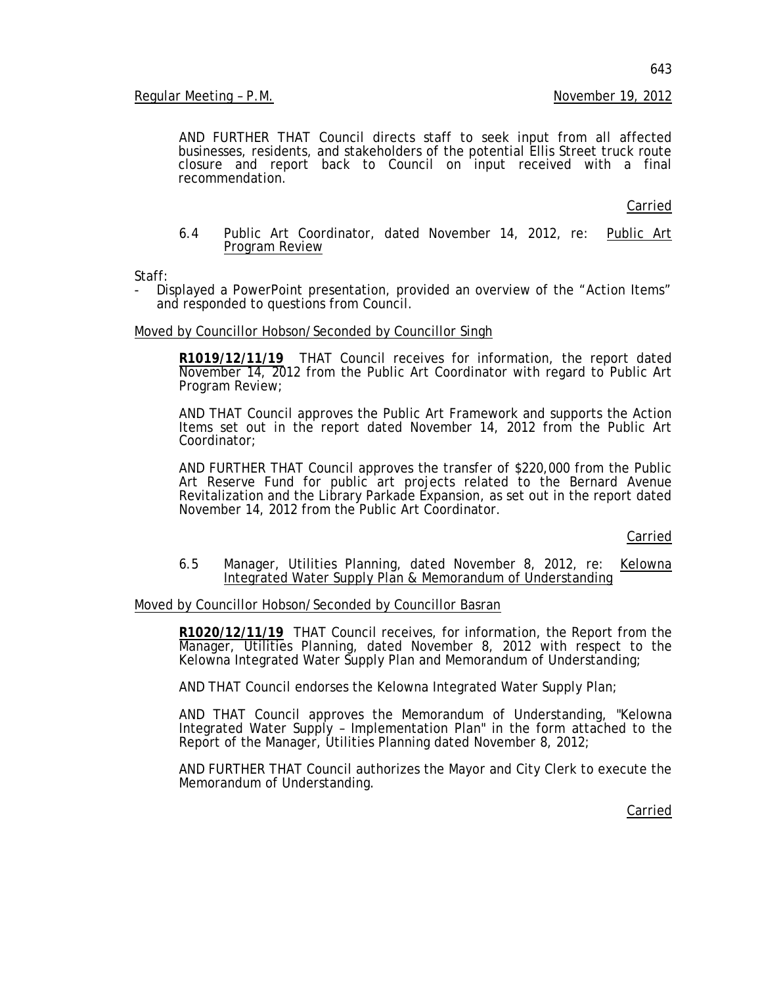AND FURTHER THAT Council directs staff to seek input from all affected businesses, residents, and stakeholders of the potential Ellis Street truck route closure and report back to Council on input received with a final recommendation.

Carried

6.4 Public Art Coordinator, dated November 14, 2012, re: Public Art Program Review

Staff:

Displayed a PowerPoint presentation, provided an overview of the "Action Items" and responded to questions from Council.

Moved by Councillor Hobson/Seconded by Councillor Singh

**R1019/12/11/19** THAT Council receives for information, the report dated November 14, 2012 from the Public Art Coordinator with regard to Public Art Program Review;

AND THAT Council approves the Public Art Framework and supports the Action Items set out in the report dated November 14, 2012 from the Public Art Coordinator;

AND FURTHER THAT Council approves the transfer of \$220,000 from the Public Art Reserve Fund for public art projects related to the Bernard Avenue Revitalization and the Library Parkade Expansion, as set out in the report dated November 14, 2012 from the Public Art Coordinator.

Carried

6.5 Manager, Utilities Planning, dated November 8, 2012, re: Kelowna Integrated Water Supply Plan & Memorandum of Understanding

Moved by Councillor Hobson/Seconded by Councillor Basran

**R1020/12/11/19** THAT Council receives, for information, the Report from the Manager, Utilities Planning, dated November 8, 2012 with respect to the Kelowna Integrated Water Supply Plan and Memorandum of Understanding;

AND THAT Council endorses the Kelowna Integrated Water Supply Plan;

AND THAT Council approves the Memorandum of Understanding, "Kelowna Integrated Water Supply – Implementation Plan" in the form attached to the Report of the Manager, Utilities Planning dated November 8, 2012;

AND FURTHER THAT Council authorizes the Mayor and City Clerk to execute the Memorandum of Understanding.

Carried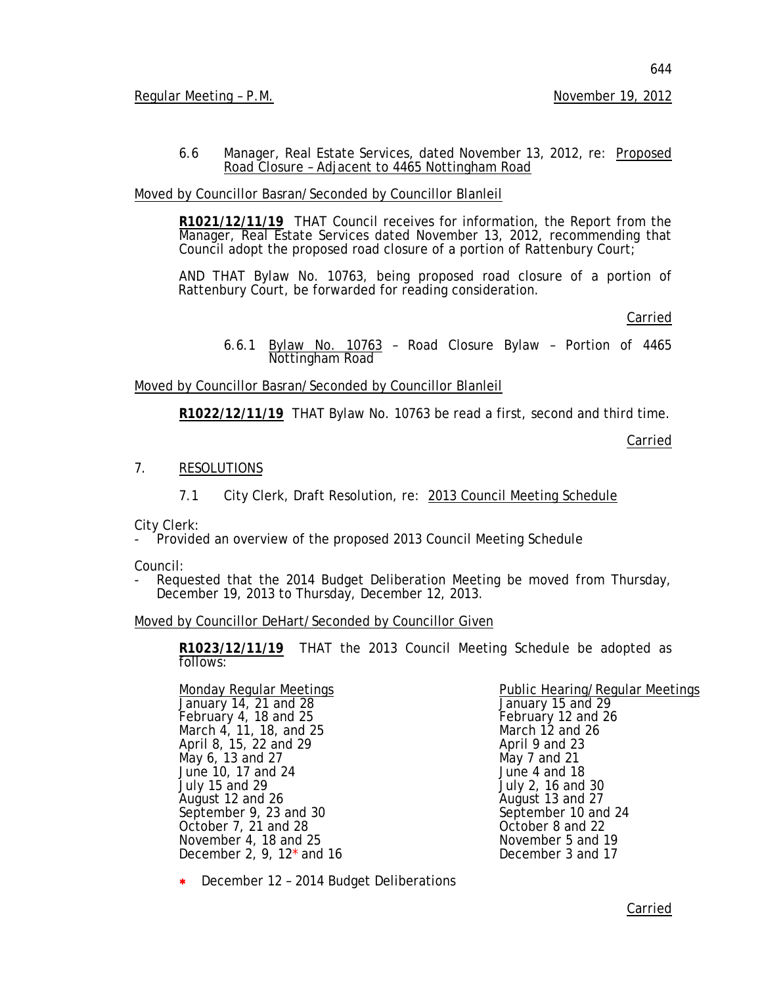6.6 Manager, Real Estate Services, dated November 13, 2012, re: Proposed Road Closure – Adjacent to 4465 Nottingham Road

Moved by Councillor Basran/Seconded by Councillor Blanleil

**R1021/12/11/19** THAT Council receives for information, the Report from the Manager, Real Estate Services dated November 13, 2012, recommending that Council adopt the proposed road closure of a portion of Rattenbury Court;

AND THAT Bylaw No. 10763, being proposed road closure of a portion of Rattenbury Court, be forwarded for reading consideration.

Carried

6.6.1 Bylaw No. 10763 – Road Closure Bylaw – Portion of 4465 Nottingham Road

Moved by Councillor Basran/Seconded by Councillor Blanleil

**R1022/12/11/19** THAT Bylaw No. 10763 be read a first, second and third time.

Carried

## 7. RESOLUTIONS

7.1 City Clerk, Draft Resolution, re: 2013 Council Meeting Schedule

City Clerk:

- Provided an overview of the proposed 2013 Council Meeting Schedule

Council:

Requested that the 2014 Budget Deliberation Meeting be moved from Thursday, December 19, 2013 to Thursday, December 12, 2013.

Moved by Councillor DeHart/Seconded by Councillor Given

**R1023/12/11/19** THAT the 2013 Council Meeting Schedule be adopted as follows:

Monday Regular Meetings<br>
January 14, 21 and 28 January 15 and 29<br>
February 4, 18 and 25 February 12 and 26 February 4, 18 and 25 February 12 and<br>March 4, 11, 18, and 25 March 12 and 26 March 4, 11, 18, and 25 March 12 and 26 April 8, 15, 22 and 29 April 9 and 23 May 6, 13 and 27 May 7 and 21 June 10, 17 and 24 July 15 and 29 July 2, 16 and 30 August 12 and 26 August 13 and 27<br>
September 9, 23 and 30 August 13 and 24 August 10 and 24 September 9, 23 and 30 September 10 and 30 September 10 and 22 October 7, 21 and 28 October 8 and 22<br>
November 4, 18 and 25 November 5 and 19 November 4, 18 and 25 November 5 and 19<br>December 2, 9, 12\* and 16 November 3 and 17 December 2, 9,  $12^*$  and 16

∗ December 12 – 2014 Budget Deliberations

Public Hearing/Regular Meetings<br>January 15 and 29

Carried